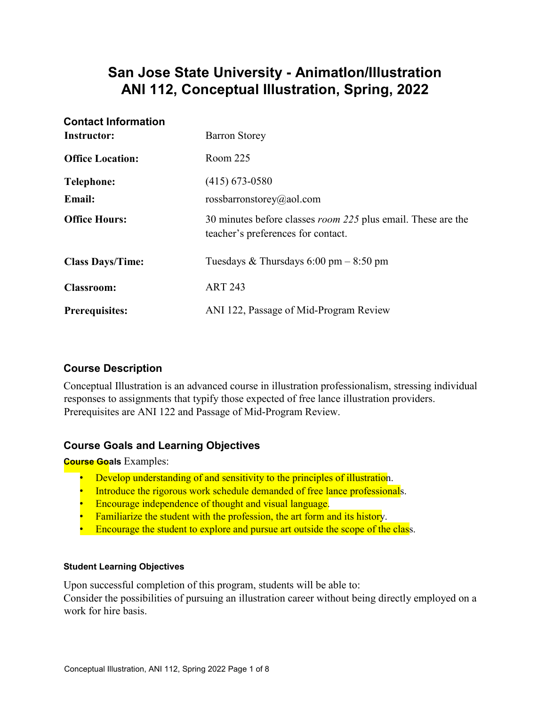# **San Jose State University - AnimatIon/Illustration ANI 112, Conceptual Illustration, Spring, 2022**

| <b>Contact Information</b><br><b>Instructor:</b> | <b>Barron Storey</b>                                                                                      |
|--------------------------------------------------|-----------------------------------------------------------------------------------------------------------|
| <b>Office Location:</b>                          | Room 225                                                                                                  |
| <b>Telephone:</b>                                | $(415)$ 673-0580                                                                                          |
| <b>Email:</b>                                    | rossbarronstorey@aol.com                                                                                  |
| <b>Office Hours:</b>                             | 30 minutes before classes <i>room 225</i> plus email. These are the<br>teacher's preferences for contact. |
| <b>Class Days/Time:</b>                          | Tuesdays & Thursdays $6:00 \text{ pm} - 8:50 \text{ pm}$                                                  |
| <b>Classroom:</b>                                | <b>ART 243</b>                                                                                            |
| <b>Prerequisites:</b>                            | ANI 122, Passage of Mid-Program Review                                                                    |

## **Course Description**

Conceptual Illustration is an advanced course in illustration professionalism, stressing individual responses to assignments that typify those expected of free lance illustration providers. Prerequisites are ANI 122 and Passage of Mid-Program Review.

## **Course Goals and Learning Objectives**

**Course Goals** Examples:

- Develop understanding of and sensitivity to the principles of illustration.
- Introduce the rigorous work schedule demanded of free lance professionals.
- Encourage independence of thought and visual language.
- Familiarize the student with the profession, the art form and its history.
- Encourage the student to explore and pursue art outside the scope of the class.

### **Student Learning Objectives**

Upon successful completion of this program, students will be able to:

Consider the possibilities of pursuing an illustration career without being directly employed on a work for hire basis.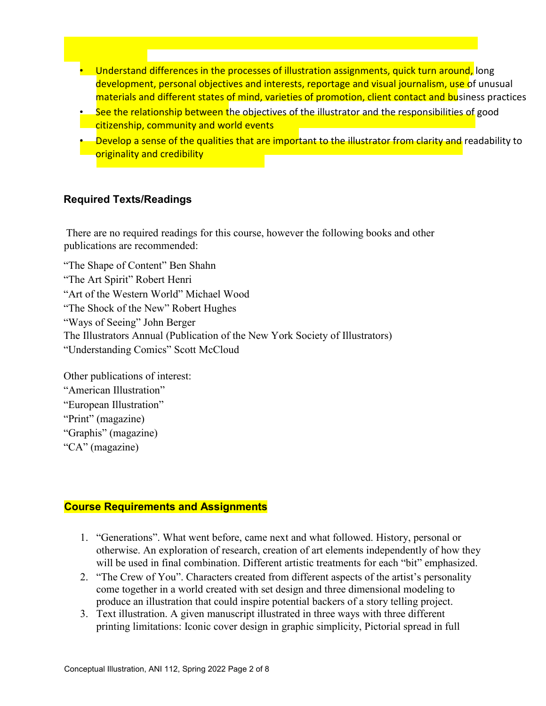- Understand differences in the processes of illustration assignments, quick turn around, long development, personal objectives and interests, reportage and visual journalism, use of unusual materials and different states of mind, varieties of promotion, client contact and business practices
- See the relationship between the objectives of the illustrator and the responsibilities of good citizenship, community and world events
- Develop a sense of the qualities that are important to the illustrator from clarity and readability to originality and credibility

### **Required Texts/Readings**

There are no required readings for this course, however the following books and other publications are recommended:

"The Shape of Content" Ben Shahn "The Art Spirit" Robert Henri "Art of the Western World" Michael Wood "The Shock of the New" Robert Hughes "Ways of Seeing" John Berger The Illustrators Annual (Publication of the New York Society of Illustrators) "Understanding Comics" Scott McCloud

Other publications of interest: "American Illustration" "European Illustration" "Print" (magazine) "Graphis" (magazine) "CA" (magazine)

### **Course Requirements and Assignments**

- 1. "Generations". What went before, came next and what followed. History, personal or otherwise. An exploration of research, creation of art elements independently of how they will be used in final combination. Different artistic treatments for each "bit" emphasized.
- 2. "The Crew of You". Characters created from different aspects of the artist's personality come together in a world created with set design and three dimensional modeling to produce an illustration that could inspire potential backers of a story telling project.
- 3. Text illustration. A given manuscript illustrated in three ways with three different printing limitations: Iconic cover design in graphic simplicity, Pictorial spread in full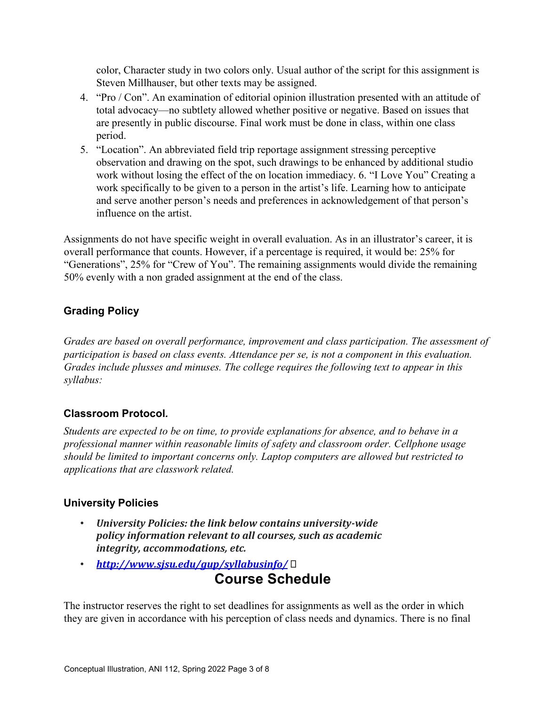color, Character study in two colors only. Usual author of the script for this assignment is Steven Millhauser, but other texts may be assigned.

- 4. "Pro / Con". An examination of editorial opinion illustration presented with an attitude of total advocacy—no subtlety allowed whether positive or negative. Based on issues that are presently in public discourse. Final work must be done in class, within one class period.
- 5. "Location". An abbreviated field trip reportage assignment stressing perceptive observation and drawing on the spot, such drawings to be enhanced by additional studio work without losing the effect of the on location immediacy. 6. "I Love You" Creating a work specifically to be given to a person in the artist's life. Learning how to anticipate and serve another person's needs and preferences in acknowledgement of that person's influence on the artist.

Assignments do not have specific weight in overall evaluation. As in an illustrator's career, it is overall performance that counts. However, if a percentage is required, it would be: 25% for "Generations", 25% for "Crew of You". The remaining assignments would divide the remaining 50% evenly with a non graded assignment at the end of the class.

## **Grading Policy**

*Grades are based on overall performance, improvement and class participation. The assessment of participation is based on class events. Attendance per se, is not a component in this evaluation. Grades include plusses and minuses. The college requires the following text to appear in this syllabus:* 

## **Classroom Protocol***.*

*Students are expected to be on time, to provide explanations for absence, and to behave in a professional manner within reasonable limits of safety and classroom order. Cellphone usage should be limited to important concerns only. Laptop computers are allowed but restricted to applications that are classwork related.* 

## **University Policies**

- *University Policies: the link below contains university-wide policy information relevant to all courses, such as academic integrity, accommodations, etc.*
- *<http://www.sjsu.edu/gup/syllabusinfo/>* **Course Schedule**

The instructor reserves the right to set deadlines for assignments as well as the order in which they are given in accordance with his perception of class needs and dynamics. There is no final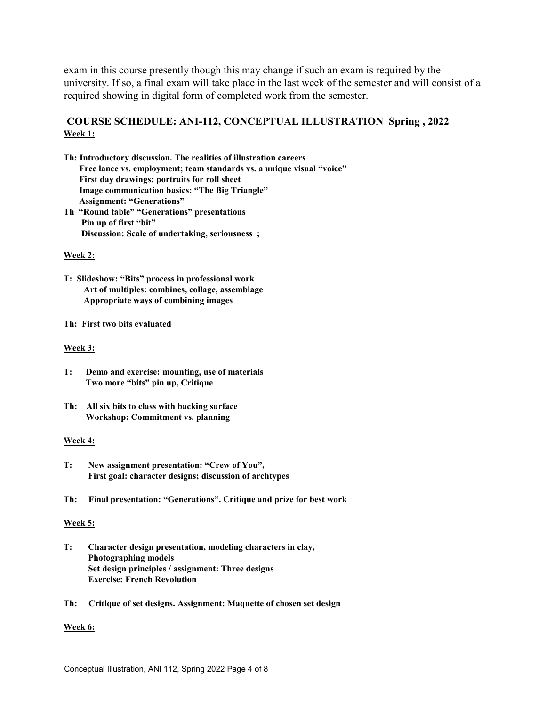exam in this course presently though this may change if such an exam is required by the university. If so, a final exam will take place in the last week of the semester and will consist of a required showing in digital form of completed work from the semester.

## **COURSE SCHEDULE: ANI-112, CONCEPTUAL ILLUSTRATION Spring , 2022 Week 1:**

- **Th: Introductory discussion. The realities of illustration careers Free lance vs. employment; team standards vs. a unique visual "voice" First day drawings: portraits for roll sheet Image communication basics: "The Big Triangle" Assignment: "Generations" Th "Round table" "Generations" presentations**
- **Pin up of first "bit" Discussion: Scale of undertaking, seriousness ;**

#### **Week 2:**

- **T: Slideshow: "Bits" process in professional work Art of multiples: combines, collage, assemblage Appropriate ways of combining images**
- **Th: First two bits evaluated**

#### **Week 3:**

- **T: Demo and exercise: mounting, use of materials Two more "bits" pin up, Critique**
- **Th: All six bits to class with backing surface Workshop: Commitment vs. planning**

#### **Week 4:**

- **T: New assignment presentation: "Crew of You", First goal: character designs; discussion of archtypes**
- **Th: Final presentation: "Generations". Critique and prize for best work**

#### **Week 5:**

- **T: Character design presentation, modeling characters in clay, Photographing models Set design principles / assignment: Three designs Exercise: French Revolution**
- **Th: Critique of set designs. Assignment: Maquette of chosen set design**

#### **Week 6:**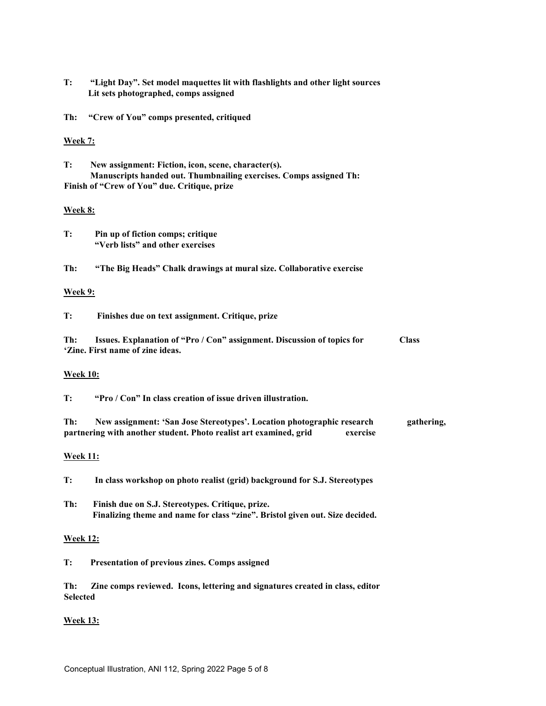**T: "Light Day". Set model maquettes lit with flashlights and other light sources Lit sets photographed, comps assigned** 

**Th: "Crew of You" comps presented, critiqued** 

#### **Week 7:**

**T: New assignment: Fiction, icon, scene, character(s). Manuscripts handed out. Thumbnailing exercises. Comps assigned Th: Finish of "Crew of You" due. Critique, prize** 

#### **Week 8:**

| T: | Pin up of fiction comps; critique |
|----|-----------------------------------|
|    | "Verb lists" and other exercises  |

**Th: "The Big Heads" Chalk drawings at mural size. Collaborative exercise** 

#### **Week 9:**

**T: Finishes due on text assignment. Critique, prize** 

**Th: Issues. Explanation of "Pro / Con" assignment. Discussion of topics for Class 'Zine. First name of zine ideas.** 

#### **Week 10:**

**T: "Pro / Con" In class creation of issue driven illustration.** 

**Th: New assignment: 'San Jose Stereotypes'. Location photographic research gathering, partnering with another student. Photo realist art examined, grid exercise** 

#### **Week 11:**

**T: In class workshop on photo realist (grid) background for S.J. Stereotypes** 

**Th: Finish due on S.J. Stereotypes. Critique, prize. Finalizing theme and name for class "zine". Bristol given out. Size decided.** 

#### **Week 12:**

**T: Presentation of previous zines. Comps assigned** 

**Th: Zine comps reviewed. Icons, lettering and signatures created in class, editor Selected** 

#### **Week 13:**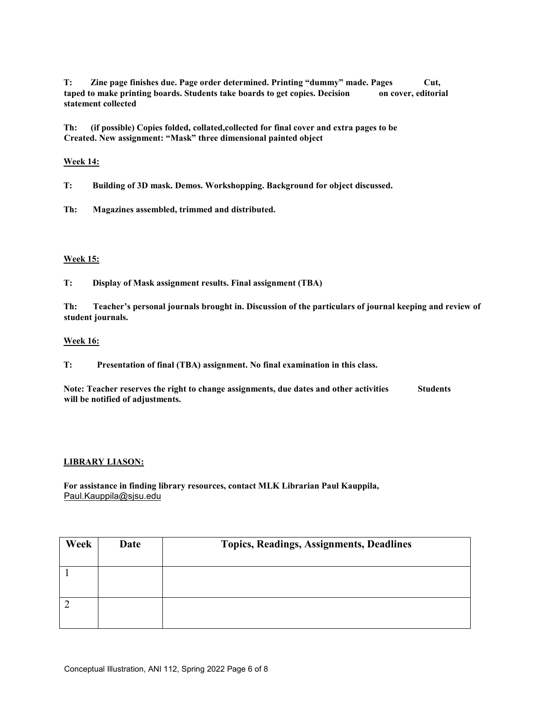**T: Zine page finishes due. Page order determined. Printing "dummy" made. Pages Cut, taped to make printing boards. Students take boards to get copies. Decision on cover, editorial statement collected** 

**Th: (if possible) Copies folded, collated,collected for final cover and extra pages to be Created. New assignment: "Mask" three dimensional painted object** 

#### **Week 14:**

**T: Building of 3D mask. Demos. Workshopping. Background for object discussed.** 

**Th: Magazines assembled, trimmed and distributed.** 

#### **Week 15:**

**T: Display of Mask assignment results. Final assignment (TBA)** 

**Th: Teacher's personal journals brought in. Discussion of the particulars of journal keeping and review of student journals.** 

#### **Week 16:**

**T: Presentation of final (TBA) assignment. No final examination in this class.** 

Note: Teacher reserves the right to change assignments, due dates and other activities **Students will be notified of adjustments.** 

#### **LIBRARY LIASON:**

**For assistance in finding library resources, contact MLK Librarian Paul Kauppila,**  Paul.Kauppila@sjsu.edu

| Week | Date | <b>Topics, Readings, Assignments, Deadlines</b> |
|------|------|-------------------------------------------------|
|      |      |                                                 |
|      |      |                                                 |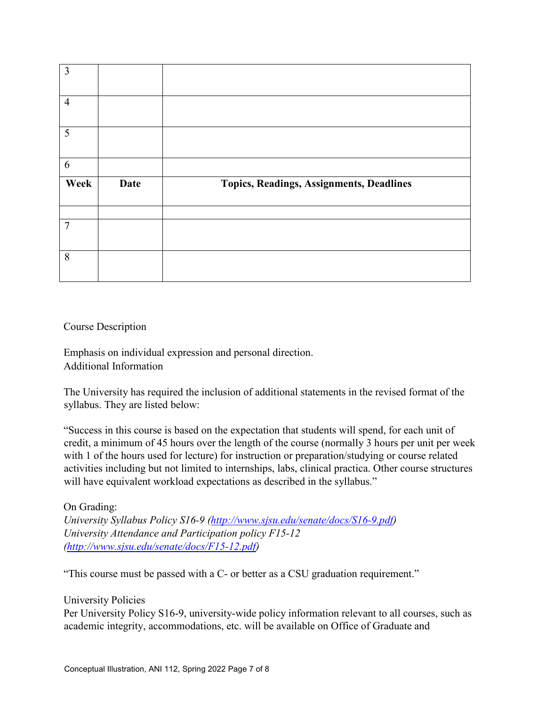| 3              |             |                                          |
|----------------|-------------|------------------------------------------|
| $\overline{4}$ |             |                                          |
| 5              |             |                                          |
| 6              |             |                                          |
|                |             |                                          |
| Week           | <b>Date</b> | Topics, Readings, Assignments, Deadlines |
|                |             |                                          |
| $\overline{7}$ |             |                                          |

### Course Description

Emphasis on individual expression and personal direction. Additional Information

The University has required the inclusion of additional statements in the revised format of the syllabus. They are listed below:

"Success in this course is based on the expectation that students will spend, for each unit of credit, a minimum of 45 hours over the length of the course (normally 3 hours per unit per week with 1 of the hours used for lecture) for instruction or preparation/studying or course related activities including but not limited to internships, labs, clinical practica. Other course structures will have equivalent workload expectations as described in the syllabus."

## On Grading:

*University Syllabus Policy S16-9 [\(http://www.sjsu.edu/senate/docs/S16-9.pdf\)](http://www.sjsu.edu/senate/docs/S16-9.pdf) University Attendance and Participation policy F15-12 [\(http://www.sjsu.edu/senate/docs/F15-12.pdf\)](http://www.sjsu.edu/senate/docs/F15-12.pdf)*

"This course must be passed with a C- or better as a CSU graduation requirement."

### University Policies

Per University Policy S16-9, university-wide policy information relevant to all courses, such as academic integrity, accommodations, etc. will be available on Office of Graduate and